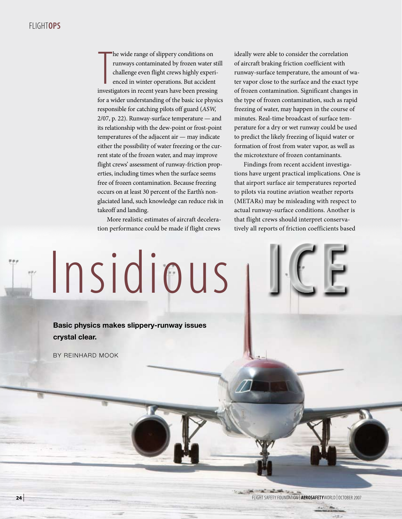# Flight**OPS**

he wide range of slippery conditions on<br>
runways contaminated by frozen water sti<br>
challenge even flight crews highly experi-<br>
enced in winter operations. But accident<br>
investigators in recent years have been pressing he wide range of slippery conditions on runways contaminated by frozen water still challenge even flight crews highly experienced in winter operations. But accident for a wider understanding of the basic ice physics responsible for catching pilots off guard (*ASW,* 2/07, p. 22). Runway-surface temperature — and its relationship with the dew-point or frost-point temperatures of the adjacent air — may indicate either the possibility of water freezing or the current state of the frozen water, and may improve flight crews' assessment of runway-friction properties, including times when the surface seems free of frozen contamination. Because freezing occurs on at least 30 percent of the Earth's nonglaciated land, such knowledge can reduce risk in takeoff and landing.

More realistic estimates of aircraft deceleration performance could be made if flight crews

ideally were able to consider the correlation of aircraft braking friction coefficient with runway-surface temperature, the amount of water vapor close to the surface and the exact type of frozen contamination. Significant changes in the type of frozen contamination, such as rapid freezing of water, may happen in the course of minutes. Real-time broadcast of surface temperature for a dry or wet runway could be used to predict the likely freezing of liquid water or formation of frost from water vapor, as well as the microtexture of frozen contaminants.

Findings from recent accident investigations have urgent practical implications. One is that airport surface air temperatures reported to pilots via routine aviation weather reports (METARs) may be misleading with respect to actual runway-surface conditions. Another is that flight crews should interpret conservatively all reports of friction coefficients based

**ICE**

# Insidious

**Basic physics makes slippery-runway issues crystal clear.**

By Reinhard Mook

**<sup>24</sup>**| flight safety foundation | **AeroSafety**World | October 2007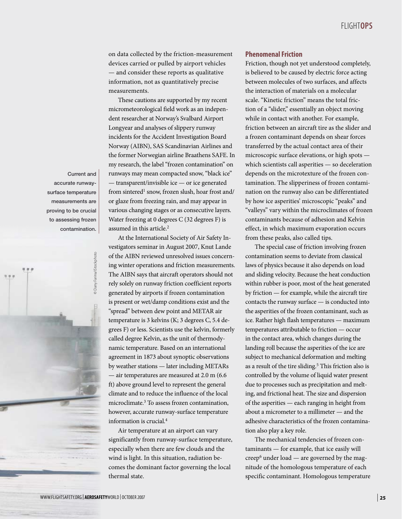on data collected by the friction-measurement devices carried or pulled by airport vehicles — and consider these reports as qualitative information, not as quantitatively precise measurements.

These cautions are supported by my recent micrometeorological field work as an independent researcher at Norway's Svalbard Airport Longyear and analyses of slippery runway incidents for the Accident Investigation Board Norway (AIBN), SAS Scandinavian Airlines and the former Norwegian airline Braathens SAFE. In my research, the label "frozen contamination" on runways may mean compacted snow, "black ice" — transparent/invisible ice — or ice generated from sintered<sup>1</sup> snow, frozen slush, hoar frost and/ or glaze from freezing rain, and may appear in various changing stages or as consecutive layers. Water freezing at 0 degrees C (32 degrees F) is assumed in this article.<sup>2</sup>

At the International Society of Air Safety Investigators seminar in August 2007, Knut Lande of the AIBN reviewed unresolved issues concerning winter operations and friction measurements. The AIBN says that aircraft operators should not rely solely on runway friction coefficient reports generated by airports if frozen contamination is present or wet/damp conditions exist and the "spread" between dew point and METAR air temperature is 3 kelvins (K; 3 degrees C, 5.4 degrees F) or less. Scientists use the kelvin, formerly called degree Kelvin, as the unit of thermodynamic temperature. Based on an international agreement in 1873 about synoptic observations by weather stations — later including METARs — air temperatures are measured at 2.0 m (6.6 ft) above ground level to represent the general climate and to reduce the influence of the local microclimate.3 To assess frozen contamination, however, accurate runway-surface temperature information is crucial.4

Air temperature at an airport can vary significantly from runway-surface temperature, especially when there are few clouds and the wind is light. In this situation, radiation becomes the dominant factor governing the local thermal state.

## **Phenomenal Friction**

Friction, though not yet understood completely, is believed to be caused by electric force acting between molecules of two surfaces, and affects the interaction of materials on a molecular scale. "Kinetic friction" means the total friction of a "slider," essentially an object moving while in contact with another. For example, friction between an aircraft tire as the slider and a frozen contaminant depends on shear forces transferred by the actual contact area of their microscopic surface elevations, or high spots which scientists call asperities — so deceleration depends on the microtexture of the frozen contamination. The slipperiness of frozen contamination on the runway also can be differentiated by how ice asperities' microscopic "peaks" and "valleys" vary within the microclimates of frozen contaminants because of adhesion and Kelvin effect, in which maximum evaporation occurs from these peaks, also called tips.

The special case of friction involving frozen contamination seems to deviate from classical laws of physics because it also depends on load and sliding velocity. Because the heat conduction within rubber is poor, most of the heat generated by friction — for example, while the aircraft tire contacts the runway surface — is conducted into the asperities of the frozen contaminant, such as ice. Rather high flash temperatures — maximum temperatures attributable to friction — occur in the contact area, which changes during the landing roll because the asperities of the ice are subject to mechanical deformation and melting as a result of the tire sliding.<sup>5</sup> This friction also is controlled by the volume of liquid water present due to processes such as precipitation and melting, and frictional heat. The size and dispersion of the asperities — each ranging in height from about a micrometer to a millimeter — and the adhesive characteristics of the frozen contamination also play a key role.

The mechanical tendencies of frozen contaminants — for example, that ice easily will creep<sup>6</sup> under load — are governed by the magnitude of the homologous temperature of each specific contaminant. Homologous temperature

Current and accurate runwaysurface temperature measurements are proving to be crucial to assessing frozen contamination.

© Dany Farina/iStockphoto

© Dany Farina/iStockphoto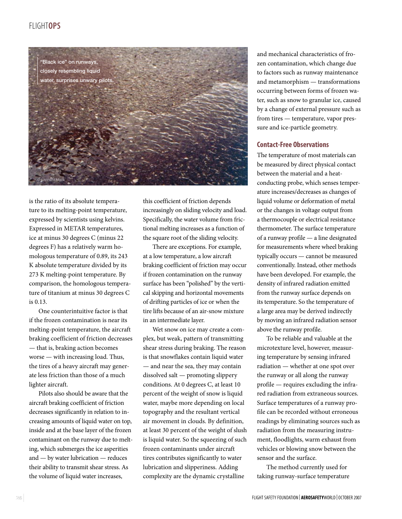# Flight**OPS**



is the ratio of its absolute temperature to its melting-point temperature, expressed by scientists using kelvins. Expressed in METAR temperatures, ice at minus 30 degrees C (minus 22 degrees F) has a relatively warm homologous temperature of 0.89, its 243 K absolute temperature divided by its 273 K melting-point temperature. By comparison, the homologous temperature of titanium at minus 30 degrees C is 0.13.

One counterintuitive factor is that if the frozen contamination is near its melting-point temperature, the aircraft braking coefficient of friction decreases — that is, braking action becomes worse — with increasing load. Thus, the tires of a heavy aircraft may generate less friction than those of a much lighter aircraft.

Pilots also should be aware that the aircraft braking coefficient of friction decreases significantly in relation to increasing amounts of liquid water on top, inside and at the base layer of the frozen contaminant on the runway due to melting, which submerges the ice asperities and — by water lubrication — reduces their ability to transmit shear stress. As the volume of liquid water increases,

this coefficient of friction depends increasingly on sliding velocity and load. Specifically, the water volume from frictional melting increases as a function of the square root of the sliding velocity.

There are exceptions. For example, at a low temperature, a low aircraft braking coefficient of friction may occur if frozen contamination on the runway surface has been "polished" by the vertical skipping and horizontal movements of drifting particles of ice or when the tire lifts because of an air-snow mixture in an intermediate layer.

Wet snow on ice may create a complex, but weak, pattern of transmitting shear stress during braking. The reason is that snowflakes contain liquid water — and near the sea, they may contain dissolved salt — promoting slippery conditions. At 0 degrees C, at least 10 percent of the weight of snow is liquid water, maybe more depending on local topography and the resultant vertical air movement in clouds. By definition, at least 30 percent of the weight of slush is liquid water. So the squeezing of such frozen contaminants under aircraft tires contributes significantly to water lubrication and slipperiness. Adding complexity are the dynamic crystalline

and mechanical characteristics of frozen contamination, which change due to factors such as runway maintenance and metamorphism — transformations occurring between forms of frozen water, such as snow to granular ice, caused by a change of external pressure such as from tires — temperature, vapor pressure and ice-particle geometry.

## **Contact-Free Observations**

The temperature of most materials can be measured by direct physical contact between the material and a heatconducting probe, which senses temperature increases/decreases as changes of liquid volume or deformation of metal or the changes in voltage output from a thermocouple or electrical resistance thermometer. The surface temperature of a runway profile — a line designated for measurements where wheel braking typically occurs — cannot be measured conventionally. Instead, other methods have been developed. For example, the density of infrared radiation emitted from the runway surface depends on its temperature. So the temperature of a large area may be derived indirectly by moving an infrared radiation sensor above the runway profile.

To be reliable and valuable at the microtexture level, however, measuring temperature by sensing infrared radiation — whether at one spot over the runway or all along the runway profile — requires excluding the infrared radiation from extraneous sources. Surface temperatures of a runway profile can be recorded without erroneous readings by eliminating sources such as radiation from the measuring instrument, floodlights, warm exhaust from vehicles or blowing snow between the sensor and the surface.

The method currently used for taking runway-surface temperature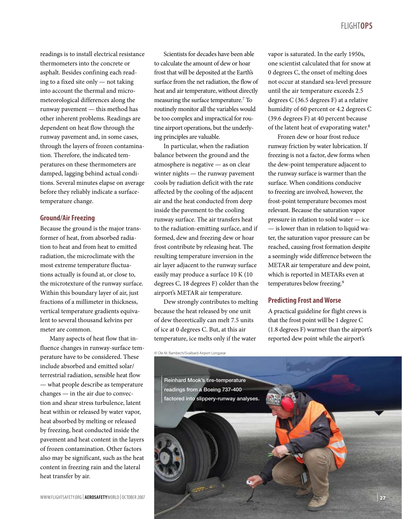readings is to install electrical resistance thermometers into the concrete or asphalt. Besides confining each reading to a fixed site only — not taking into account the thermal and micrometeorological differences along the runway pavement — this method has other inherent problems. Readings are dependent on heat flow through the runway pavement and, in some cases, through the layers of frozen contamination. Therefore, the indicated temperatures on these thermometers are damped, lagging behind actual conditions. Several minutes elapse on average before they reliably indicate a surfacetemperature change.

## **Ground/Air Freezing**

Because the ground is the major transformer of heat, from absorbed radiation to heat and from heat to emitted radiation, the microclimate with the most extreme temperature fluctuations actually is found at, or close to, the microtexture of the runway surface. Within this boundary layer of air, just fractions of a millimeter in thickness, vertical temperature gradients equivalent to several thousand kelvins per meter are common.

Many aspects of heat flow that influence changes in runway-surface temperature have to be considered. These include absorbed and emitted solar/ terrestrial radiation, sensible heat flow — what people describe as temperature changes — in the air due to convection and shear stress turbulence, latent heat within or released by water vapor, heat absorbed by melting or released by freezing, heat conducted inside the pavement and heat content in the layers of frozen contamination. Other factors also may be significant, such as the heat content in freezing rain and the lateral heat transfer by air.

Scientists for decades have been able to calculate the amount of dew or hoar frost that will be deposited at the Earth's surface from the net radiation, the flow of heat and air temperature, without directly measuring the surface temperature.7 To routinely monitor all the variables would be too complex and impractical for routine airport operations, but the underlying principles are valuable.

In particular, when the radiation balance between the ground and the atmosphere is negative — as on clear winter nights — the runway pavement cools by radiation deficit with the rate affected by the cooling of the adjacent air and the heat conducted from deep inside the pavement to the cooling runway surface. The air transfers heat to the radiation-emitting surface, and if formed, dew and freezing dew or hoar frost contribute by releasing heat. The resulting temperature inversion in the air layer adjacent to the runway surface easily may produce a surface 10 K (10 degrees C, 18 degrees F) colder than the airport's METAR air temperature.

Dew strongly contributes to melting because the heat released by one unit of dew theoretically can melt 7.5 units of ice at 0 degrees C. But, at this air temperature, ice melts only if the water

vapor is saturated. In the early 1950s, one scientist calculated that for snow at 0 degrees C, the onset of melting does not occur at standard sea-level pressure until the air temperature exceeds 2.5 degrees C (36.5 degrees F) at a relative humidity of 60 percent or 4.2 degrees C (39.6 degrees F) at 40 percent because of the latent heat of evaporating water.8

Frozen dew or hoar frost reduce runway friction by water lubrication. If freezing is not a factor, dew forms when the dew-point temperature adjacent to the runway surface is warmer than the surface. When conditions conducive to freezing are involved, however, the frost-point temperature becomes most relevant. Because the saturation vapor pressure in relation to solid water — ice — is lower than in relation to liquid water, the saturation vapor pressure can be reached, causing frost formation despite a seemingly wide difference between the METAR air temperature and dew point, which is reported in METARs even at temperatures below freezing.9

## **Predicting Frost and Worse**

A practical guideline for flight crews is that the frost point will be 1 degree C (1.8 degrees F) warmer than the airport's reported dew point while the airport's